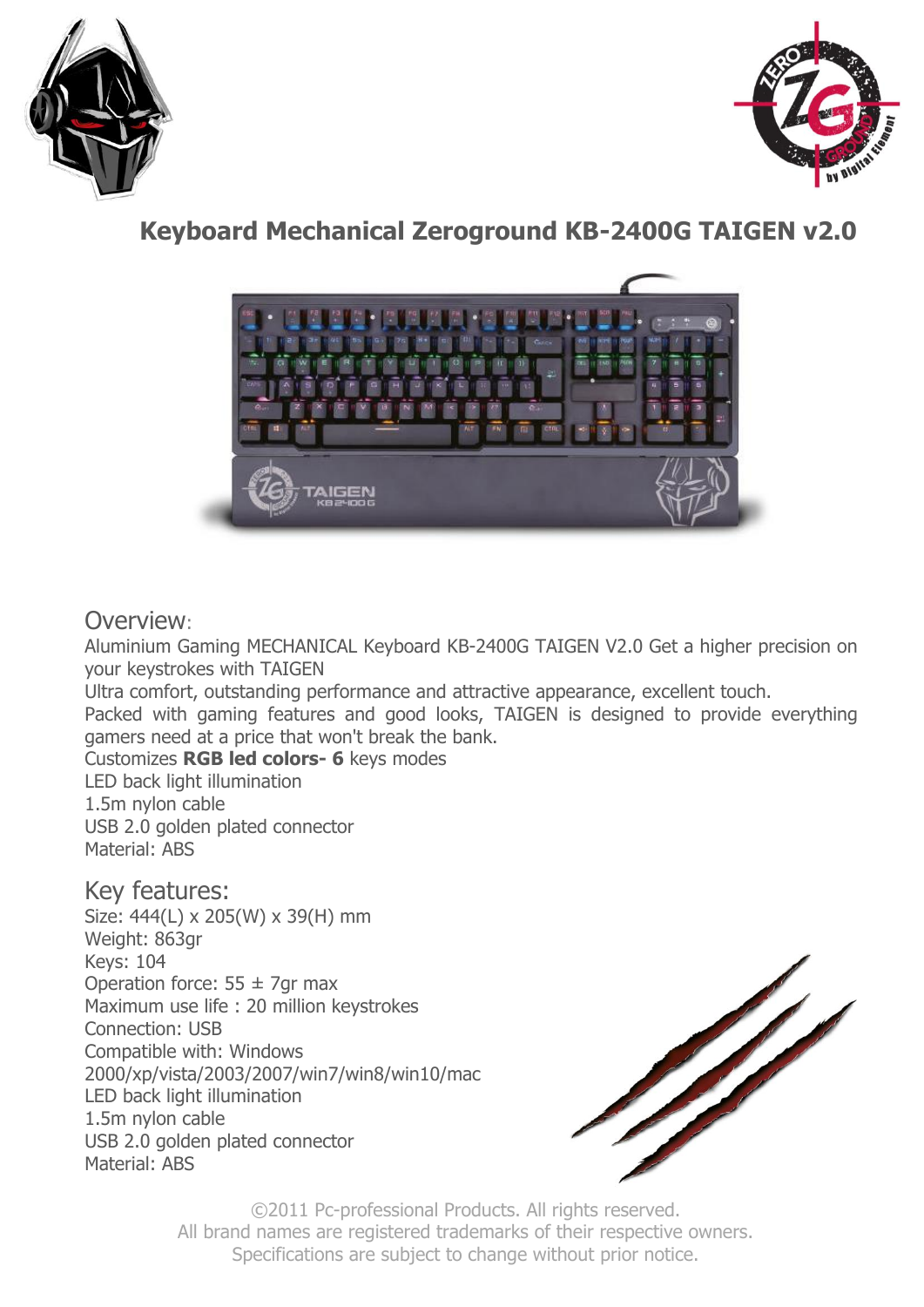



# **Keyboard Mechanical Zeroground KB-2400G TAIGEN v2.0**



## Overview:

Aluminium Gaming MECHANICAL Keyboard KB-2400G TAIGEN V2.0 Get a higher precision on your keystrokes with TAIGEN

Ultra comfort, outstanding performance and attractive appearance, excellent touch.

Packed with gaming features and good looks, TAIGEN is designed to provide everything gamers need at a price that won't break the bank.

Customizes **RGB led colors- 6** keys modes

LED back light illumination 1.5m nylon cable USB 2.0 golden plated connector Material: ABS

Key features:

Size: 444(L) x 205(W) x 39(H) mm Weight: 863gr Keys: 104 Operation force:  $55 \pm 7$ gr max Maximum use life : 20 million keystrokes Connection: USB Compatible with: Windows 2000/xp/vista/2003/2007/win7/win8/win10/mac LED back light illumination 1.5m nylon cable USB 2.0 golden plated connector Material: ABS



©2011 Pc-professional Products. All rights reserved. All brand names are registered trademarks of their respective owners. Specifications are subject to change without prior notice.